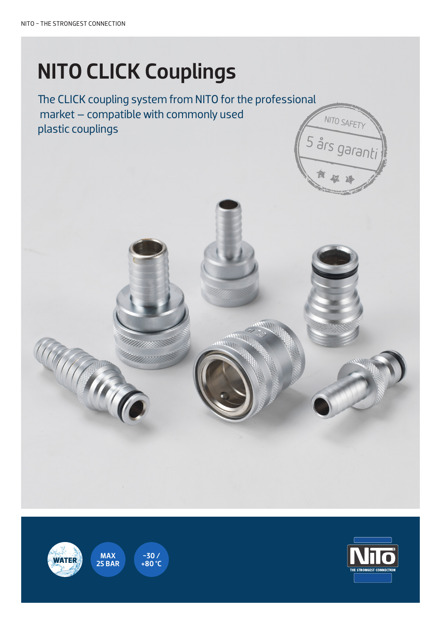# NITO CLICK Couplings

Undgå arbejdsskader med de 5 års garanti The CLICK coupling system from NITO for the professional market – compatible with commonly used plastic couplings



 $-30$  /<br>+80 °C

MAX

**CONTRACTOR**